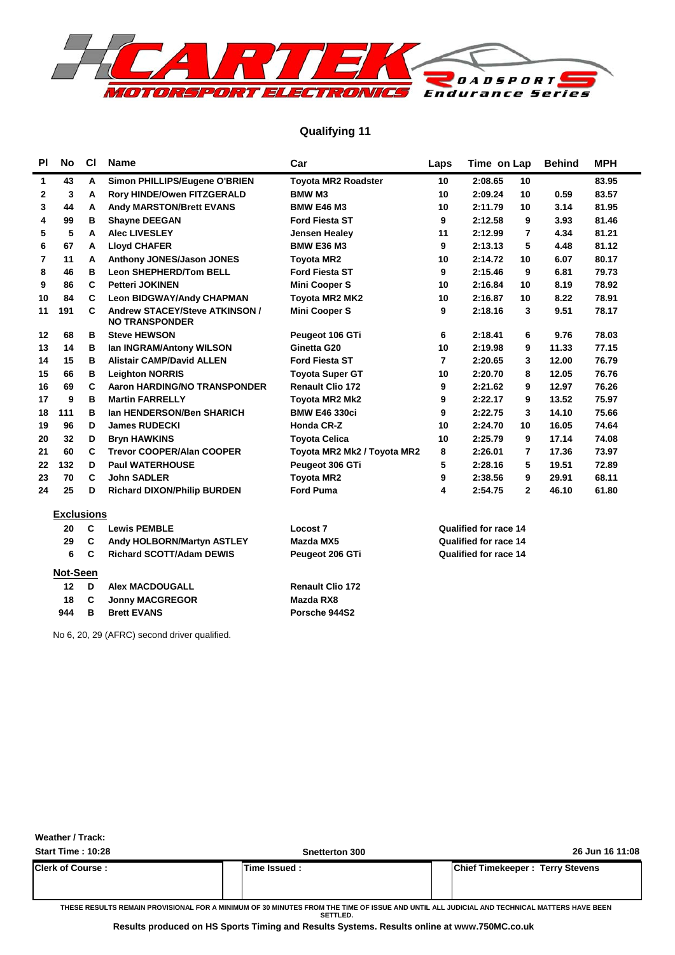

#### **Qualifying 11**

| <b>PI</b> | No                | <b>CI</b> | <b>Name</b>                                             | Car                         | Laps | Time on Lap                  | <b>Behind</b> | <b>MPH</b> |
|-----------|-------------------|-----------|---------------------------------------------------------|-----------------------------|------|------------------------------|---------------|------------|
| 1         | 43                | А         | Simon PHILLIPS/Eugene O'BRIEN                           | <b>Toyota MR2 Roadster</b>  | 10   | 2:08.65<br>10                |               | 83.95      |
| 2         | 3                 | А         | Rory HINDE/Owen FITZGERALD                              | <b>BMW M3</b>               | 10   | 2:09.24<br>10                | 0.59          | 83.57      |
| 3         | 44                | А         | <b>Andy MARSTON/Brett EVANS</b>                         | <b>BMW E46 M3</b>           | 10   | 2:11.79<br>10                | 3.14          | 81.95      |
| 4         | 99                | в         | <b>Shayne DEEGAN</b>                                    | <b>Ford Fiesta ST</b>       | 9    | 2:12.58<br>9                 | 3.93          | 81.46      |
| 5         | 5                 | A         | <b>Alec LIVESLEY</b>                                    | <b>Jensen Healey</b>        | 11   | $\overline{7}$<br>2:12.99    | 4.34          | 81.21      |
| 6         | 67                | А         | <b>Lloyd CHAFER</b>                                     | <b>BMW E36 M3</b>           | 9    | 2:13.13<br>5                 | 4.48          | 81.12      |
| 7         | 11                | А         | <b>Anthony JONES/Jason JONES</b>                        | <b>Toyota MR2</b>           | 10   | 2:14.72<br>10                | 6.07          | 80.17      |
| 8         | 46                | B         | <b>Leon SHEPHERD/Tom BELL</b>                           | <b>Ford Fiesta ST</b>       | 9    | 2:15.46<br>9                 | 6.81          | 79.73      |
| 9         | 86                | C         | <b>Petteri JOKINEN</b>                                  | <b>Mini Cooper S</b>        | 10   | 2:16.84<br>10                | 8.19          | 78.92      |
| 10        | 84                | C         | <b>Leon BIDGWAY/Andy CHAPMAN</b>                        | Toyota MR2 MK2              | 10   | 2:16.87<br>10                | 8.22          | 78.91      |
| 11        | 191               | C         | Andrew STACEY/Steve ATKINSON /<br><b>NO TRANSPONDER</b> | <b>Mini Cooper S</b>        | 9    | 2:18.16<br>3                 | 9.51          | 78.17      |
| 12        | 68                | в         | <b>Steve HEWSON</b>                                     | Peugeot 106 GTi             | 6    | 2:18.41<br>6                 | 9.76          | 78.03      |
| 13        | 14                | в         | Ian INGRAM/Antony WILSON                                | Ginetta G20                 | 10   | 2:19.98<br>9                 | 11.33         | 77.15      |
| 14        | 15                | в         | <b>Alistair CAMP/David ALLEN</b>                        | <b>Ford Fiesta ST</b>       | 7    | 2:20.65<br>3                 | 12.00         | 76.79      |
| 15        | 66                | в         | <b>Leighton NORRIS</b>                                  | <b>Toyota Super GT</b>      | 10   | 2:20.70<br>8                 | 12.05         | 76.76      |
| 16        | 69                | C         | Aaron HARDING/NO TRANSPONDER                            | <b>Renault Clio 172</b>     | 9    | 2:21.62<br>9                 | 12.97         | 76.26      |
| 17        | 9                 | в         | <b>Martin FARRELLY</b>                                  | <b>Toyota MR2 Mk2</b>       | 9    | 2:22.17<br>9                 | 13.52         | 75.97      |
| 18        | 111               | в         | <b>Ian HENDERSON/Ben SHARICH</b>                        | <b>BMW E46 330ci</b>        | 9    | 2:22.75<br>3                 | 14.10         | 75.66      |
| 19        | 96                | D         | <b>James RUDECKI</b>                                    | <b>Honda CR-Z</b>           | 10   | 2:24.70<br>10                | 16.05         | 74.64      |
| 20        | 32                | D         | <b>Bryn HAWKINS</b>                                     | <b>Toyota Celica</b>        | 10   | 2:25.79<br>9                 | 17.14         | 74.08      |
| 21        | 60                | C         | <b>Trevor COOPER/Alan COOPER</b>                        | Toyota MR2 Mk2 / Toyota MR2 | 8    | 2:26.01<br>7                 | 17.36         | 73.97      |
| 22        | 132               | D         | <b>Paul WATERHOUSE</b>                                  | Peugeot 306 GTi             | 5    | 2:28.16<br>5                 | 19.51         | 72.89      |
| 23        | 70                | C         | <b>John SADLER</b>                                      | <b>Toyota MR2</b>           | 9    | 2:38.56<br>9                 | 29.91         | 68.11      |
| 24        | 25                | D         | <b>Richard DIXON/Philip BURDEN</b>                      | <b>Ford Puma</b>            | 4    | 2:54.75<br>$\mathbf{2}$      | 46.10         | 61.80      |
|           | <b>Exclusions</b> |           |                                                         |                             |      |                              |               |            |
|           | 20                | C         | <b>Lewis PEMBLE</b>                                     | Locost <sub>7</sub>         |      | Qualified for race 14        |               |            |
|           | 29                | C         | Andy HOLBORN/Martyn ASTLEY                              | Mazda MX5                   |      | Qualified for race 14        |               |            |
|           | 6                 | C         | <b>Richard SCOTT/Adam DEWIS</b>                         | Peugeot 206 GTi             |      | <b>Qualified for race 14</b> |               |            |
|           | Not-Seen          |           |                                                         |                             |      |                              |               |            |
|           | 12                | D         | <b>Alex MACDOUGALL</b>                                  | <b>Renault Clio 172</b>     |      |                              |               |            |
|           | 18                | C         | <b>Jonny MACGREGOR</b>                                  | Mazda RX8                   |      |                              |               |            |
|           | 944               | в         | <b>Brett EVANS</b>                                      | Porsche 944S2               |      |                              |               |            |

No 6, 20, 29 (AFRC) second driver qualified.

**Weather / Track:** 

| <b>Start Time: 10:28</b>  | Snetterton 300                                                                                                                                          | 26 Jun 16 11:08                         |
|---------------------------|---------------------------------------------------------------------------------------------------------------------------------------------------------|-----------------------------------------|
| <b>IClerk of Course :</b> | Time Issued :                                                                                                                                           | <b>IChief Timekeeper: Terry Stevens</b> |
|                           | THESE RESULTS REMAIN PROVISIONAL FOR A MINIMUM OF 30 MINUTES FROM THE TIME OF ISSUE AND UNTIL ALL JUDICIAL AND TECHNICAL MATTERS HAVE BEEN<br>SETTI ED. |                                         |

**Results produced on HS Sports Timing and Results Systems. Results online at www.750MC.co.uk**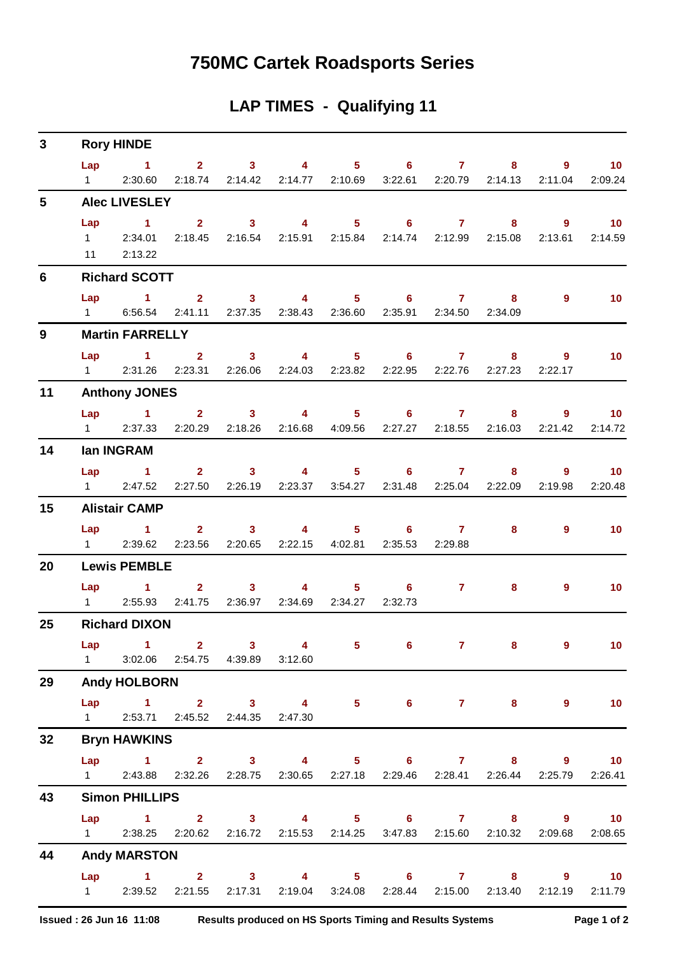## **750MC Cartek Roadsports Series**

### **LAP TIMES - Qualifying 11**

| $\mathbf{3}$    | <b>Rory HINDE</b>   |                                                                                            |                                    |  |                                 |  |                                                                         |                 |                                            |              |                             |  |  |  |
|-----------------|---------------------|--------------------------------------------------------------------------------------------|------------------------------------|--|---------------------------------|--|-------------------------------------------------------------------------|-----------------|--------------------------------------------|--------------|-----------------------------|--|--|--|
|                 |                     | Lap 1 2 3 4 5 6 7 8 9 10                                                                   |                                    |  |                                 |  |                                                                         |                 |                                            |              |                             |  |  |  |
|                 | $1 \quad \Box$      |                                                                                            |                                    |  |                                 |  | 2:30.60 2:18.74 2:14.42 2:14.77 2:10.69 3:22.61 2:20.79 2:14.13 2:11.04 |                 |                                            |              | 2:09.24                     |  |  |  |
| $5\phantom{.0}$ |                     | <b>Alec LIVESLEY</b>                                                                       |                                    |  |                                 |  |                                                                         |                 |                                            |              |                             |  |  |  |
|                 | Lap                 | 1 2 3 4 5 6 7 8 9 10                                                                       |                                    |  |                                 |  |                                                                         |                 |                                            |              |                             |  |  |  |
|                 |                     | 1 2:34.01 2:18.45 2:16.54 2:15.91 2:15.84 2:14.74 2:12.99 2:15.08                          |                                    |  |                                 |  |                                                                         |                 |                                            |              | 2:13.61 2:14.59             |  |  |  |
|                 |                     | 11 2:13.22                                                                                 |                                    |  |                                 |  |                                                                         |                 |                                            |              |                             |  |  |  |
| 6               |                     | <b>Richard SCOTT</b>                                                                       |                                    |  |                                 |  |                                                                         |                 |                                            |              |                             |  |  |  |
|                 |                     | Lap 1 2 3 4 5 6 7 8                                                                        |                                    |  |                                 |  |                                                                         |                 |                                            | 9            | 10                          |  |  |  |
|                 |                     | 1 6:56.54 2:41.11 2:37.35 2:38.43 2:36.60 2:35.91 2:34.50 2:34.09                          |                                    |  |                                 |  |                                                                         |                 |                                            |              |                             |  |  |  |
| 9               |                     | <b>Martin FARRELLY</b>                                                                     |                                    |  |                                 |  |                                                                         |                 |                                            |              |                             |  |  |  |
|                 |                     | Lap 1 2 3 4 5 6 7 8 9<br>1 2:31.26 2:23.31 2:26.06 2:24.03 2:23.82 2:22.95 2:22.76 2:27.23 |                                    |  |                                 |  |                                                                         |                 |                                            | 2:22.17      | 10                          |  |  |  |
| 11              |                     | <b>Anthony JONES</b>                                                                       |                                    |  |                                 |  |                                                                         |                 |                                            |              |                             |  |  |  |
|                 |                     | Lap 1 2 3 4 5 6 7 8 9 10                                                                   |                                    |  |                                 |  |                                                                         |                 |                                            |              |                             |  |  |  |
|                 |                     | 1 2:37.33 2:20.29 2:18.26 2:16.68 4:09.56 2:27.27 2:18.55 2:16.03 2:21.42                  |                                    |  |                                 |  |                                                                         |                 |                                            |              | 2:14.72                     |  |  |  |
| 14              |                     | <b>Ian INGRAM</b>                                                                          |                                    |  |                                 |  |                                                                         |                 |                                            |              |                             |  |  |  |
|                 |                     | Lap 1 2 3 4 5 6 7 8 9 10                                                                   |                                    |  |                                 |  |                                                                         |                 |                                            |              |                             |  |  |  |
|                 |                     | 1 2:47.52 2:27.50 2:26.19 2:23.37 3:54.27 2:31.48 2:25.04 2:22.09                          |                                    |  |                                 |  |                                                                         |                 |                                            | 2:19.98      | 2:20.48                     |  |  |  |
| 15              |                     | <b>Alistair CAMP</b>                                                                       |                                    |  |                                 |  |                                                                         |                 |                                            |              |                             |  |  |  |
|                 |                     | Lap 1 2 3 4 5 6 7                                                                          |                                    |  |                                 |  |                                                                         |                 |                                            | 9<br>$8 - 1$ | 10                          |  |  |  |
|                 |                     | 1 2:39.62                                                                                  |                                    |  | 2:23.56 2:20.65 2:22.15 4:02.81 |  |                                                                         | 2:35.53 2:29.88 |                                            |              |                             |  |  |  |
| 20              | <b>Lewis PEMBLE</b> |                                                                                            |                                    |  |                                 |  |                                                                         |                 |                                            |              |                             |  |  |  |
|                 |                     | Lap 1                                                                                      |                                    |  |                                 |  | 2 3 4 5 6 7 8                                                           |                 |                                            | 9            | 10                          |  |  |  |
|                 |                     | 1 2:55.93 2:41.75 2:36.97 2:34.69 2:34.27                                                  |                                    |  |                                 |  | 2:32.73                                                                 |                 |                                            |              |                             |  |  |  |
| 25              |                     | <b>Richard DIXON</b>                                                                       |                                    |  |                                 |  |                                                                         |                 |                                            |              |                             |  |  |  |
|                 | Lap                 | $1 \qquad 2 \qquad 3 \qquad 4 \qquad 5 \qquad 6$                                           |                                    |  |                                 |  |                                                                         | $\overline{7}$  | $\begin{array}{ccc} & 8 & & 9 \end{array}$ |              | 10 <sub>1</sub>             |  |  |  |
|                 |                     | 1 3:02.06 2:54.75 4:39.89 3:12.60                                                          |                                    |  |                                 |  |                                                                         |                 |                                            |              |                             |  |  |  |
| 29              |                     | <b>Andy HOLBORN</b>                                                                        |                                    |  |                                 |  |                                                                         |                 |                                            |              |                             |  |  |  |
|                 |                     | Lap 1 2 3 4 5 6 7 8                                                                        |                                    |  |                                 |  |                                                                         |                 |                                            | $9^{\circ}$  | $\overline{\phantom{0}}$ 10 |  |  |  |
|                 | $1 \quad \Box$      |                                                                                            | 2:53.71  2:45.52  2:44.35  2:47.30 |  |                                 |  |                                                                         |                 |                                            |              |                             |  |  |  |
| 32              |                     | <b>Bryn HAWKINS</b>                                                                        |                                    |  |                                 |  |                                                                         |                 |                                            |              |                             |  |  |  |
|                 |                     | Lap 1 2 3 4 5 6 7 8 9 10                                                                   |                                    |  |                                 |  |                                                                         |                 |                                            |              |                             |  |  |  |
|                 |                     | 1 2:43.88 2:32.26 2:28.75 2:30.65 2:27.18 2:29.46 2:28.41 2:26.44 2:25.79 2:26.41          |                                    |  |                                 |  |                                                                         |                 |                                            |              |                             |  |  |  |
| 43              |                     | <b>Simon PHILLIPS</b>                                                                      |                                    |  |                                 |  |                                                                         |                 |                                            |              |                             |  |  |  |
|                 |                     | Lap 1 2 3 4 5 6 7 8 9 10                                                                   |                                    |  |                                 |  |                                                                         |                 |                                            |              |                             |  |  |  |
|                 |                     | 1 2:38.25 2:20.62 2:16.72 2:15.53 2:14.25 3:47.83 2:15.60 2:10.32                          |                                    |  |                                 |  |                                                                         |                 |                                            | 2:09.68      | 2:08.65                     |  |  |  |
| 44              |                     | <b>Andy MARSTON</b>                                                                        |                                    |  |                                 |  |                                                                         |                 |                                            |              |                             |  |  |  |
|                 |                     | Lap 1 2 3 4 5 6 7 8 9 10                                                                   |                                    |  |                                 |  |                                                                         |                 |                                            |              |                             |  |  |  |
|                 |                     | 1 2:39.52 2:21.55 2:17.31 2:19.04 3:24.08 2:28.44 2:15.00 2:13.40                          |                                    |  |                                 |  |                                                                         |                 |                                            | 2:12.19      | 2:11.79                     |  |  |  |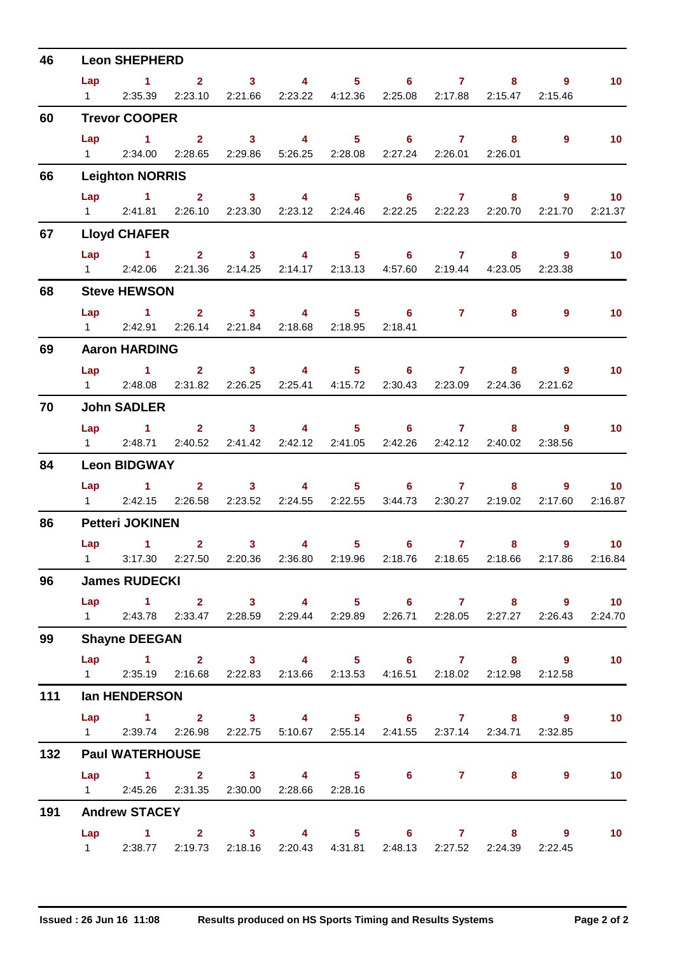| 46  | <b>Leon SHEPHERD</b>  |                                                                                                               |                 |                                                                                                                                                                                                                                                                                                                                                                                                                         |                                                                 |                                   |                               |  |                 |                |                   |  |  |
|-----|-----------------------|---------------------------------------------------------------------------------------------------------------|-----------------|-------------------------------------------------------------------------------------------------------------------------------------------------------------------------------------------------------------------------------------------------------------------------------------------------------------------------------------------------------------------------------------------------------------------------|-----------------------------------------------------------------|-----------------------------------|-------------------------------|--|-----------------|----------------|-------------------|--|--|
|     | Lap                   | $\sim$ 1                                                                                                      |                 |                                                                                                                                                                                                                                                                                                                                                                                                                         | $2 \t 3 \t 4$                                                   |                                   | $5 \t\t 6$                    |  | $7 \quad \circ$ | 9              | 10 <sub>1</sub>   |  |  |
|     | $1 \quad \Box$        |                                                                                                               | 2:35.39 2:23.10 |                                                                                                                                                                                                                                                                                                                                                                                                                         | 2:21.66 2:23.22 4:12.36 2:25.08 2:17.88 2:15.47                 |                                   |                               |  |                 | 2:15.46        |                   |  |  |
| 60  |                       | <b>Trevor COOPER</b>                                                                                          |                 |                                                                                                                                                                                                                                                                                                                                                                                                                         |                                                                 |                                   |                               |  |                 |                |                   |  |  |
|     | Lap<br>$1 \quad \Box$ | $1 \qquad 2 \qquad 3 \qquad 4 \qquad 5 \qquad 6 \qquad 7 \qquad 8$                                            | 2:34.00 2:28.65 |                                                                                                                                                                                                                                                                                                                                                                                                                         | 2:29.86 5:26.25 2:28.08 2:27.24 2:26.01                         |                                   |                               |  | 2:26.01         | $9^{\circ}$    | 10 <sub>1</sub>   |  |  |
| 66  |                       | <b>Leighton NORRIS</b>                                                                                        |                 |                                                                                                                                                                                                                                                                                                                                                                                                                         |                                                                 |                                   |                               |  |                 |                |                   |  |  |
|     | Lap                   | $\sim$ 1                                                                                                      | 2 <sup>7</sup>  | $\overline{\mathbf{3}}$                                                                                                                                                                                                                                                                                                                                                                                                 | $\overline{4}$                                                  |                                   | $5 \t\t 6 \t\t 7$             |  | 8               | $9^{\circ}$    | 10 <sub>1</sub>   |  |  |
|     |                       | 1 2:41.81 2:26.10 2:23.30 2:23.12 2:24.46 2:22.25 2:22.23 2:20.70 2:21.70                                     |                 |                                                                                                                                                                                                                                                                                                                                                                                                                         |                                                                 |                                   |                               |  |                 |                | 2:21.37           |  |  |
| 67  |                       | <b>Lloyd CHAFER</b>                                                                                           |                 |                                                                                                                                                                                                                                                                                                                                                                                                                         |                                                                 |                                   |                               |  |                 |                |                   |  |  |
|     |                       | Lap 1 2 3 4 5 6 7 8                                                                                           |                 |                                                                                                                                                                                                                                                                                                                                                                                                                         |                                                                 |                                   |                               |  |                 | $\overline{9}$ | 10 <sub>1</sub>   |  |  |
|     |                       | 1 2:42.06 2:21.36 2:14.25 2:14.17 2:13.13 4:57.60 2:19.44 4:23.05                                             |                 |                                                                                                                                                                                                                                                                                                                                                                                                                         |                                                                 |                                   |                               |  |                 | 2:23.38        |                   |  |  |
| 68  |                       | <b>Steve HEWSON</b>                                                                                           |                 |                                                                                                                                                                                                                                                                                                                                                                                                                         |                                                                 |                                   |                               |  |                 |                |                   |  |  |
|     |                       | $Lap$ 1                                                                                                       |                 |                                                                                                                                                                                                                                                                                                                                                                                                                         | $2 \qquad 3 \qquad 4$                                           |                                   | $5 \t\t 6 \t\t 7$             |  | 8               | $\overline{9}$ | 10 <sup>°</sup>   |  |  |
|     | $1 \quad \Box$        |                                                                                                               |                 |                                                                                                                                                                                                                                                                                                                                                                                                                         | 2:42.91  2:26.14  2:21.84  2:18.68  2:18.95                     |                                   | 2:18.41                       |  |                 |                |                   |  |  |
| 69  |                       | <b>Aaron HARDING</b>                                                                                          |                 |                                                                                                                                                                                                                                                                                                                                                                                                                         |                                                                 |                                   |                               |  |                 |                |                   |  |  |
|     |                       | Lap 1                                                                                                         |                 |                                                                                                                                                                                                                                                                                                                                                                                                                         | $2 \t 3 \t 4$                                                   |                                   | $5 \t\t 6 \t\t 7 \t\t 8$      |  |                 | 9              | 10 <sub>1</sub>   |  |  |
|     | $1 \quad \Box$        |                                                                                                               |                 |                                                                                                                                                                                                                                                                                                                                                                                                                         | 2:48.08 2:31.82 2:26.25 2:25.41 4:15.72 2:30.43 2:23.09 2:24.36 |                                   |                               |  |                 | 2:21.62        |                   |  |  |
| 70  |                       | <b>John SADLER</b>                                                                                            |                 |                                                                                                                                                                                                                                                                                                                                                                                                                         |                                                                 |                                   |                               |  |                 |                |                   |  |  |
|     | Lap                   | $\sim$ 1                                                                                                      |                 | $2 \t 3$                                                                                                                                                                                                                                                                                                                                                                                                                |                                                                 | $\overline{4}$ and $\overline{4}$ | $5 \t\t 6 \t\t 7$             |  |                 | 9              | 10                |  |  |
|     |                       | 1 2:48.71 2:40.52 2:41.42 2:42.12 2:41.05 2:42.26 2:42.12 2:40.02                                             |                 |                                                                                                                                                                                                                                                                                                                                                                                                                         |                                                                 |                                   |                               |  |                 | 2:38.56        |                   |  |  |
| 84  |                       | <b>Leon BIDGWAY</b>                                                                                           |                 |                                                                                                                                                                                                                                                                                                                                                                                                                         |                                                                 |                                   |                               |  |                 |                |                   |  |  |
|     |                       | Lap 1 2 3 4 5 6 7 8                                                                                           |                 |                                                                                                                                                                                                                                                                                                                                                                                                                         |                                                                 |                                   |                               |  |                 | $9^{\circ}$    | 10 <sup>°</sup>   |  |  |
|     | $1 \quad \Box$        | 2:42.15                                                                                                       |                 |                                                                                                                                                                                                                                                                                                                                                                                                                         | 2:26.58  2:23.52  2:24.55  2:22.55  3:44.73  2:30.27  2:19.02   |                                   |                               |  |                 | 2:17.60        | 2:16.87           |  |  |
| 86  |                       | <b>Petteri JOKINEN</b>                                                                                        |                 |                                                                                                                                                                                                                                                                                                                                                                                                                         |                                                                 |                                   |                               |  |                 |                |                   |  |  |
|     |                       | $Lap$ 1<br>1 3:17.30 2:27.50 2:20.36 2:36.80 2:19.96 2:18.76 2:18.65 2:18.66 2:17.86 2:16.84                  |                 | 3 <sup>7</sup><br>$\overline{\mathbf{2}}$ and $\overline{\mathbf{2}}$ and $\overline{\mathbf{2}}$ and $\overline{\mathbf{2}}$ and $\overline{\mathbf{2}}$ and $\overline{\mathbf{2}}$ and $\overline{\mathbf{2}}$ and $\overline{\mathbf{2}}$ and $\overline{\mathbf{2}}$ and $\overline{\mathbf{2}}$ and $\overline{\mathbf{2}}$ and $\overline{\mathbf{2}}$ and $\overline{\mathbf{2}}$ and $\overline{\mathbf{2}}$ a |                                                                 | $\overline{4}$ and $\overline{4}$ | 6 <sup>1</sup><br>$5^{\circ}$ |  | $7 \quad \circ$ | $8 - 1$        | $9 \t 10$         |  |  |
|     |                       |                                                                                                               |                 |                                                                                                                                                                                                                                                                                                                                                                                                                         |                                                                 |                                   |                               |  |                 |                |                   |  |  |
| 96  |                       | <b>James RUDECKI</b>                                                                                          |                 |                                                                                                                                                                                                                                                                                                                                                                                                                         |                                                                 |                                   |                               |  |                 |                |                   |  |  |
|     |                       | Lap 1 2 3 4 5 6 7 8 9 10<br>1 2:43.78 2:33.47 2:28.59 2:29.44 2:29.89 2:26.71 2:28.05 2:27.27 2:26.43 2:24.70 |                 |                                                                                                                                                                                                                                                                                                                                                                                                                         |                                                                 |                                   |                               |  |                 |                |                   |  |  |
| 99  |                       | <b>Shayne DEEGAN</b>                                                                                          |                 |                                                                                                                                                                                                                                                                                                                                                                                                                         |                                                                 |                                   |                               |  |                 |                |                   |  |  |
|     |                       | Lap 1 2 3 4 5 6 7 8 9 10                                                                                      |                 |                                                                                                                                                                                                                                                                                                                                                                                                                         |                                                                 |                                   |                               |  |                 |                |                   |  |  |
|     |                       | 1 2:35.19 2:16.68 2:22.83 2:13.66 2:13.53 4:16.51 2:18.02 2:12.98 2:12.58                                     |                 |                                                                                                                                                                                                                                                                                                                                                                                                                         |                                                                 |                                   |                               |  |                 |                |                   |  |  |
| 111 |                       | <b>Ian HENDERSON</b>                                                                                          |                 |                                                                                                                                                                                                                                                                                                                                                                                                                         |                                                                 |                                   |                               |  |                 |                |                   |  |  |
|     |                       | Lap 1 2 3 4 5 6 7 8 9                                                                                         |                 |                                                                                                                                                                                                                                                                                                                                                                                                                         |                                                                 |                                   |                               |  |                 |                | 10                |  |  |
|     |                       | 1 2:39.74 2:26.98 2:22.75 5:10.67 2:55.14 2:41.55 2:37.14 2:34.71 2:32.85                                     |                 |                                                                                                                                                                                                                                                                                                                                                                                                                         |                                                                 |                                   |                               |  |                 |                |                   |  |  |
| 132 |                       | <b>Paul WATERHOUSE</b>                                                                                        |                 |                                                                                                                                                                                                                                                                                                                                                                                                                         |                                                                 |                                   |                               |  |                 |                |                   |  |  |
|     |                       | Lap 1 2 3 4 5 6 7 8                                                                                           |                 |                                                                                                                                                                                                                                                                                                                                                                                                                         |                                                                 |                                   |                               |  |                 | $\overline{9}$ | $\blacksquare$ 10 |  |  |
|     |                       | 1 2:45.26 2:31.35 2:30.00 2:28.66 2:28.16                                                                     |                 |                                                                                                                                                                                                                                                                                                                                                                                                                         |                                                                 |                                   |                               |  |                 |                |                   |  |  |
| 191 |                       | <b>Andrew STACEY</b>                                                                                          |                 |                                                                                                                                                                                                                                                                                                                                                                                                                         |                                                                 |                                   |                               |  |                 |                |                   |  |  |
|     |                       | Lap 1 2 3 4 5 6 7 8 9                                                                                         |                 |                                                                                                                                                                                                                                                                                                                                                                                                                         |                                                                 |                                   |                               |  |                 |                | $\blacksquare$ 10 |  |  |
|     |                       | 1 2:38.77 2:19.73 2:18.16 2:20.43 4:31.81 2:48.13 2:27.52 2:24.39 2:22.45                                     |                 |                                                                                                                                                                                                                                                                                                                                                                                                                         |                                                                 |                                   |                               |  |                 |                |                   |  |  |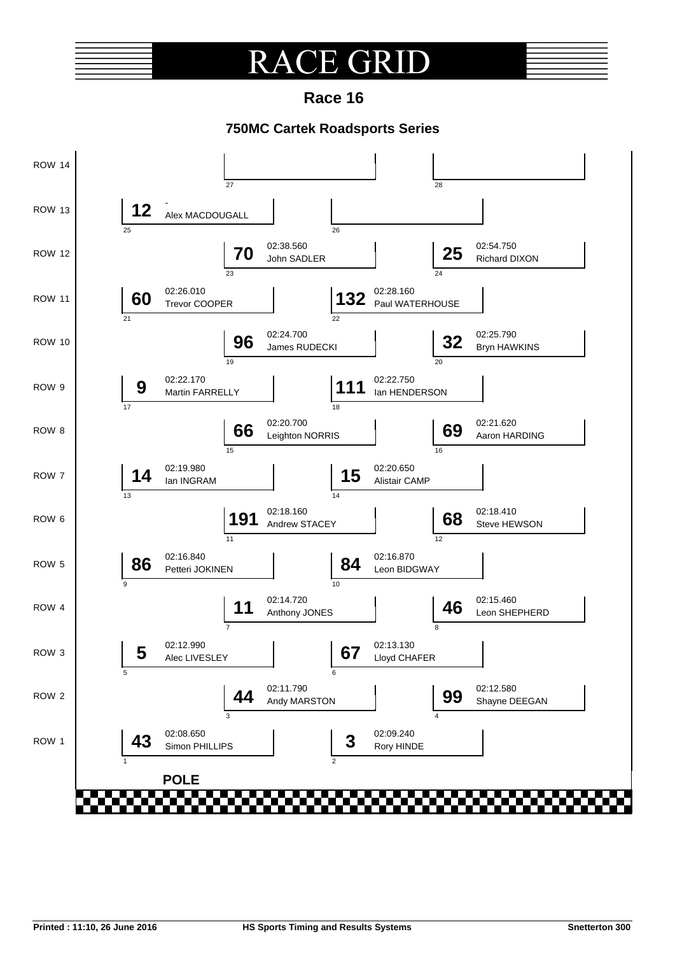#### $\overline{A}$ **E GRI** R

**Race 16**

#### **750MC Cartek Roadsports Series**

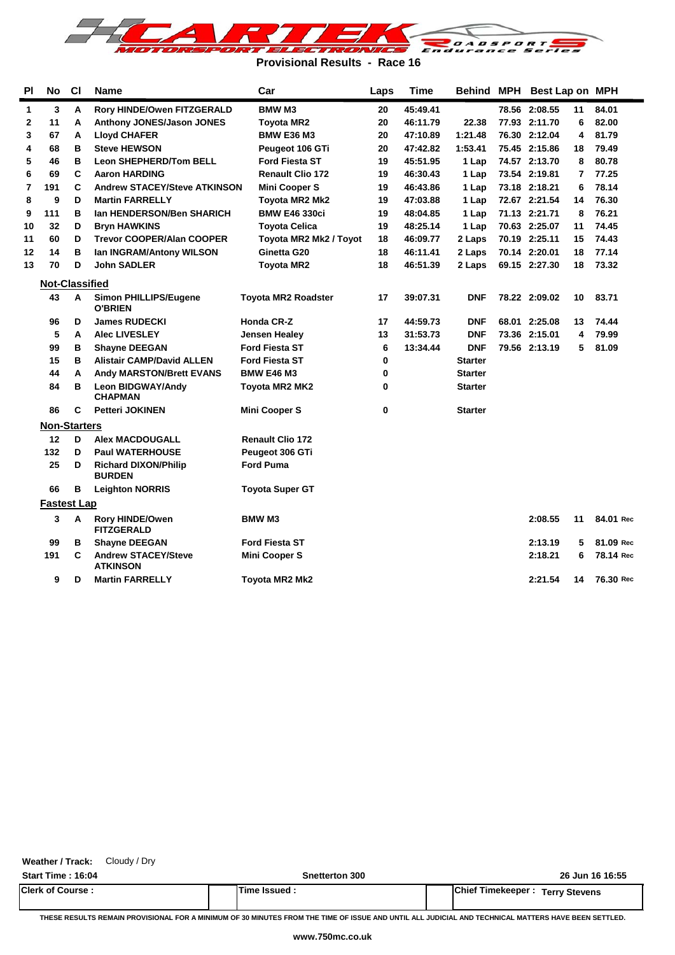

**Provisional Results - Race 16**

| <b>PI</b> | <b>No</b>             | <b>CI</b> | <b>Name</b><br>Car                             |                            | Laps     | <b>Time</b> |                | Behind MPH Best Lap on MPH |    |           |
|-----------|-----------------------|-----------|------------------------------------------------|----------------------------|----------|-------------|----------------|----------------------------|----|-----------|
| 1         | 3                     | Α         | Rory HINDE/Owen FITZGERALD                     | <b>BMWM3</b>               | 20       | 45:49.41    |                | 78.56 2:08.55              | 11 | 84.01     |
| 2         | 11                    | Α         | Anthony JONES/Jason JONES                      | <b>Toyota MR2</b>          | 20       | 46:11.79    | 22.38          | 77.93 2:11.70              | 6  | 82.00     |
| 3         | 67                    | A         | <b>Lloyd CHAFER</b>                            | <b>BMW E36 M3</b>          | 20       | 47:10.89    | 1:21.48        | 76.30 2:12.04              | 4  | 81.79     |
| 4         | 68                    | в         | <b>Steve HEWSON</b>                            | Peugeot 106 GTi            | 20       | 47:42.82    | 1:53.41        | 75.45 2:15.86              | 18 | 79.49     |
| 5         | 46                    | в         | <b>Leon SHEPHERD/Tom BELL</b>                  | <b>Ford Fiesta ST</b>      | 19       | 45:51.95    | 1 Lap          | 74.57 2:13.70              | 8  | 80.78     |
| 6         | 69                    | C         | <b>Aaron HARDING</b>                           | <b>Renault Clio 172</b>    | 19       | 46:30.43    | 1 Lap          | 73.54 2:19.81              | 7  | 77.25     |
| 7         | 191                   | C         | <b>Andrew STACEY/Steve ATKINSON</b>            | <b>Mini Cooper S</b>       | 19       | 46:43.86    | 1 Lap          | 73.18 2:18.21              | 6  | 78.14     |
| 8         | 9                     | D         | <b>Martin FARRELLY</b>                         | Toyota MR2 Mk2             | 19       | 47:03.88    | 1 Lap          | 72.67 2:21.54              | 14 | 76.30     |
| 9         | 111                   | в         | <b>Ian HENDERSON/Ben SHARICH</b>               | <b>BMW E46 330ci</b>       | 19       | 48:04.85    | 1 Lap          | 71.13 2:21.71              | 8  | 76.21     |
| 10        | 32                    | D         | <b>Bryn HAWKINS</b>                            | <b>Toyota Celica</b>       | 19       | 48:25.14    | 1 Lap          | 70.63 2:25.07              | 11 | 74.45     |
| 11        | 60                    | D         | <b>Trevor COOPER/Alan COOPER</b>               | Toyota MR2 Mk2 / Toyot     | 18       | 46:09.77    | 2 Laps         | 70.19 2:25.11              | 15 | 74.43     |
| 12        | 14                    | в         | Ian INGRAM/Antony WILSON                       | Ginetta G20                | 18       | 46:11.41    | 2 Laps         | 70.14 2:20.01              | 18 | 77.14     |
| 13        | 70                    | D         | <b>John SADLER</b>                             | <b>Toyota MR2</b>          | 18       | 46:51.39    | 2 Laps         | 69.15 2:27.30              | 18 | 73.32     |
|           | <b>Not-Classified</b> |           |                                                |                            |          |             |                |                            |    |           |
|           | 43                    | A         | <b>Simon PHILLIPS/Eugene</b><br><b>O'BRIEN</b> | <b>Toyota MR2 Roadster</b> | 17       | 39:07.31    | <b>DNF</b>     | 78.22 2:09.02              | 10 | 83.71     |
|           | 96                    | D         | <b>James RUDECKI</b>                           | <b>Honda CR-Z</b>          | 17       | 44:59.73    | <b>DNF</b>     | 68.01 2:25.08              | 13 | 74.44     |
|           | 5                     | А         | <b>Alec LIVESLEY</b>                           | Jensen Healey              | 13       | 31:53.73    | DNF            | 73.36 2:15.01              | 4  | 79.99     |
|           | 99                    | в         | <b>Shayne DEEGAN</b>                           | <b>Ford Fiesta ST</b>      | 6        | 13:34.44    | <b>DNF</b>     | 79.56 2:13.19              | 5  | 81.09     |
|           | 15                    | в         | <b>Alistair CAMP/David ALLEN</b>               | <b>Ford Fiesta ST</b>      | $\bf{0}$ |             | <b>Starter</b> |                            |    |           |
|           | 44                    | A         | <b>Andy MARSTON/Brett EVANS</b>                | <b>BMW E46 M3</b>          | 0        |             | <b>Starter</b> |                            |    |           |
|           | 84                    | в         | Leon BIDGWAY/Andy<br><b>CHAPMAN</b>            | Toyota MR2 MK2             | 0        |             | <b>Starter</b> |                            |    |           |
|           | 86                    | C         | <b>Petteri JOKINEN</b>                         | <b>Mini Cooper S</b>       | $\bf{0}$ |             | <b>Starter</b> |                            |    |           |
|           | <b>Non-Starters</b>   |           |                                                |                            |          |             |                |                            |    |           |
|           | 12                    | D         | <b>Alex MACDOUGALL</b>                         | <b>Renault Clio 172</b>    |          |             |                |                            |    |           |
|           | 132                   | D         | <b>Paul WATERHOUSE</b>                         | Peugeot 306 GTi            |          |             |                |                            |    |           |
|           | 25                    | D         | <b>Richard DIXON/Philip</b><br><b>BURDEN</b>   | <b>Ford Puma</b>           |          |             |                |                            |    |           |
|           | 66                    | в         | <b>Leighton NORRIS</b>                         | <b>Toyota Super GT</b>     |          |             |                |                            |    |           |
|           | <b>Fastest Lap</b>    |           |                                                |                            |          |             |                |                            |    |           |
|           | 3                     | A         | Rory HINDE/Owen<br><b>FITZGERALD</b>           | <b>BMW M3</b>              |          |             |                | 2:08.55                    | 11 | 84.01 Rec |
|           | 99                    | в         | <b>Shayne DEEGAN</b>                           | <b>Ford Fiesta ST</b>      |          |             |                | 2:13.19                    | 5  | 81.09 Rec |
|           | 191                   | C         | <b>Andrew STACEY/Steve</b><br><b>ATKINSON</b>  | <b>Mini Cooper S</b>       |          |             |                | 2:18.21                    | 6  | 78.14 Rec |
|           | 9                     | D         | <b>Martin FARRELLY</b>                         | <b>Toyota MR2 Mk2</b>      |          |             |                | 2:21.54                    | 14 | 76.30 Rec |

**Start Time : 16:04 Snetterton 300 26 Jun 16 16:55 Clerk of Course : Time Issued : Chief Timekeeper : Terry Stevens**

**Weather / Track:** Cloudy / Dry

**THESE RESULTS REMAIN PROVISIONAL FOR A MINIMUM OF 30 MINUTES FROM THE TIME OF ISSUE AND UNTIL ALL JUDICIAL AND TECHNICAL MATTERS HAVE BEEN SETTLED.**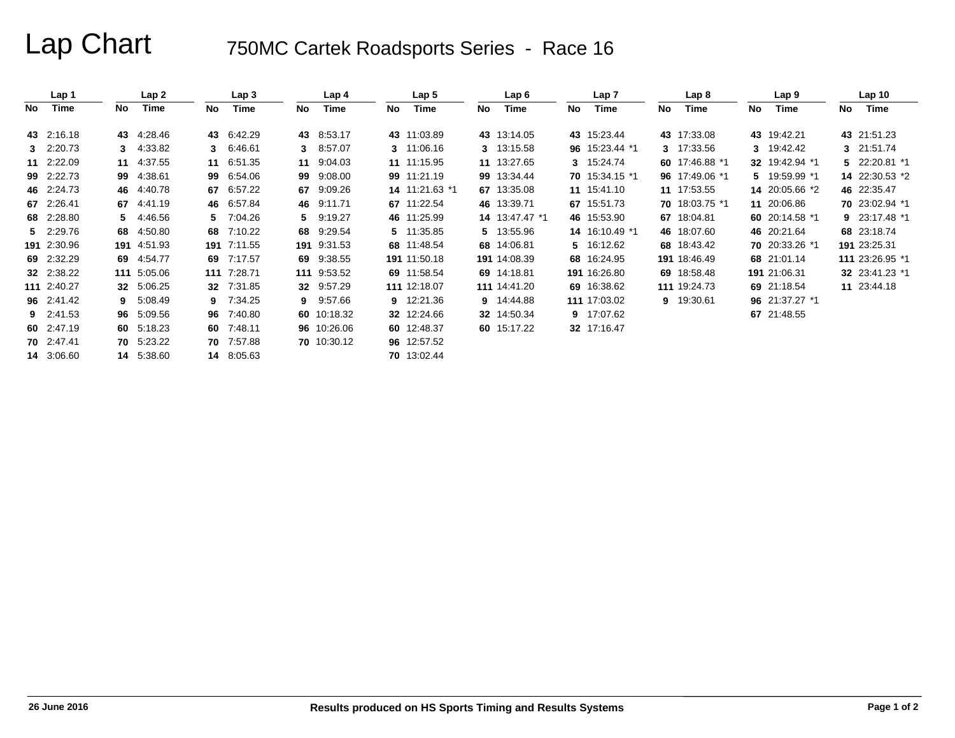## Lap Chart 750MC Cartek Roadsports Series - Race 16

|    | Lap 1       |    | Lap 2       |    | Lap 3       |     | Lap 4       |    | Lap 5          |    | Lap 6          |    | Lap 7          |     | Lap 8          |     | Lap 9          |     | Lap <sub>10</sub> |
|----|-------------|----|-------------|----|-------------|-----|-------------|----|----------------|----|----------------|----|----------------|-----|----------------|-----|----------------|-----|-------------------|
| No | Time        | No | Time        | No | Time        | No. | Time        | No | Time           | No | Time           | No | Time           | No. | Time           | No. | Time           | No. | Time              |
|    | 43 2.16.18  |    | 43 4:28.46  |    | 43 6:42.29  | 43  | 8:53.17     |    | 43 11:03.89    |    | 43 13:14.05    |    | 43 15:23.44    |     | 43 17:33.08    |     | 43 19:42.21    |     | 43 21:51.23       |
|    | 3 2:20.73   |    | 3 4:33.82   |    | 6:46.61     | 3   | 8:57.07     |    | 3 11:06.16     |    | 3 13:15.58     |    | 96 15:23.44 *1 |     | 3 17:33.56     | 3   | 19:42.42       |     | 3 21:51.74        |
|    | 11 2:22.09  |    | 11 4:37.55  |    | 11 6:51.35  | 11  | 9:04.03     |    | 11 11:15.95    |    | 11 13:27.65    |    | 3 15:24.74     |     | 60 17:46.88 *1 |     | 32 19:42.94 *1 |     | 5 22:20.81 *1     |
|    | 99 2:22.73  |    | 99 4:38.61  |    | 99 6:54.06  | 99  | 9:08.00     |    | 99 11:21.19    |    | 99 13:34.44    |    | 70 15:34.15 *1 |     | 96 17:49.06 *1 |     | 5 19:59.99 *1  |     | 14 22:30.53 *2    |
|    | 46 2:24.73  |    | 46 4:40.78  | 67 | 6:57.22     | 67  | 9:09.26     |    | 14 11:21.63 *1 |    | 67 13:35.08    |    | 11 15:41.10    |     | 11 17:53.55    |     | 14 20:05.66 *2 |     | 46 22:35.47       |
|    | 67 2:26.41  |    | 67 4:41.19  |    | 46 6.57.84  |     | 46 9:11.71  |    | 67 11:22.54    |    | 46 13:39.71    |    | 67 15:51.73    |     | 70 18:03.75 *1 |     | 11 20:06.86    |     | 70 23:02.94 *1    |
|    | 68 2:28.80  |    | 5 4:46.56   |    | 5 7:04.26   | 5.  | 9:19.27     |    | 46 11:25.99    |    | 14 13:47.47 *1 |    | 46 15:53.90    |     | 67 18:04.81    |     | 60 20:14.58 *1 |     | 9 23:17.48 *1     |
|    | 5 2:29.76   |    | 68 4:50.80  |    | 68 7:10.22  | 68  | 9:29.54     |    | 5 11:35.85     |    | 5 13:55.96     |    | 14 16:10.49 *1 |     | 46 18:07.60    |     | 46 20:21.64    |     | 68 23:18.74       |
|    | 191 2:30.96 |    | 191 4:51.93 |    | 191 7:11.55 | 191 | 9:31.53     |    | 68 11:48.54    |    | 68 14:06.81    |    | 5 16:12.62     |     | 68 18:43.42    |     | 70 20:33.26 *1 |     | 191 23:25.31      |
|    | 69 2:32.29  |    | 69 4:54.77  |    | 69 7:17.57  | 69  | 9:38.55     |    | 191 11:50.18   |    | 191 14:08.39   |    | 68 16:24.95    |     | 191 18:46.49   |     | 68 21:01.14    |     | 111 23:26.95 *1   |
|    | 32 2:38.22  |    | 111 5:05.06 |    | 111 7:28.71 |     | 111 9:53.52 |    | 69 11:58.54    |    | 69 14:18.81    |    | 191 16:26.80   |     | 69 18:58.48    |     | 191 21:06.31   |     | 32 23:41.23 *1    |
|    | 111 2:40.27 |    | 32 5:06.25  |    | 32 7:31.85  |     | 32 9:57.29  |    | 111 12:18.07   |    | 111 14:41.20   |    | 69 16:38.62    |     | 111 19:24.73   |     | 69 21:18.54    |     | 11 23:44.18       |
|    | 96 2:41.42  |    | 9 5:08.49   |    | 9 7:34.25   | 9   | 9:57.66     |    | 9 12:21.36     |    | 9 14:44.88     |    | 111 17:03.02   |     | 9 19:30.61     |     | 96 21:37.27 *1 |     |                   |
|    | 9 2:41.53   |    | 96 5:09.56  |    | 96 7:40.80  | 60  | 10:18.32    |    | 32 12:24.66    |    | 32 14:50.34    |    | 9 17:07.62     |     |                |     | 67 21:48.55    |     |                   |
|    | 60 2:47.19  |    | 60 5:18.23  | 60 | 7:48.11     |     | 96 10:26.06 |    | 60 12:48.37    |    | 60 15:17.22    |    | 32 17:16.47    |     |                |     |                |     |                   |
|    | 70 2:47.41  |    | 70 5:23.22  |    | 70 7:57.88  |     | 70 10:30.12 |    | 96 12:57.52    |    |                |    |                |     |                |     |                |     |                   |
|    | 14 3:06.60  |    | 14 5:38.60  |    | 14 8:05.63  |     |             |    | 70 13:02.44    |    |                |    |                |     |                |     |                |     |                   |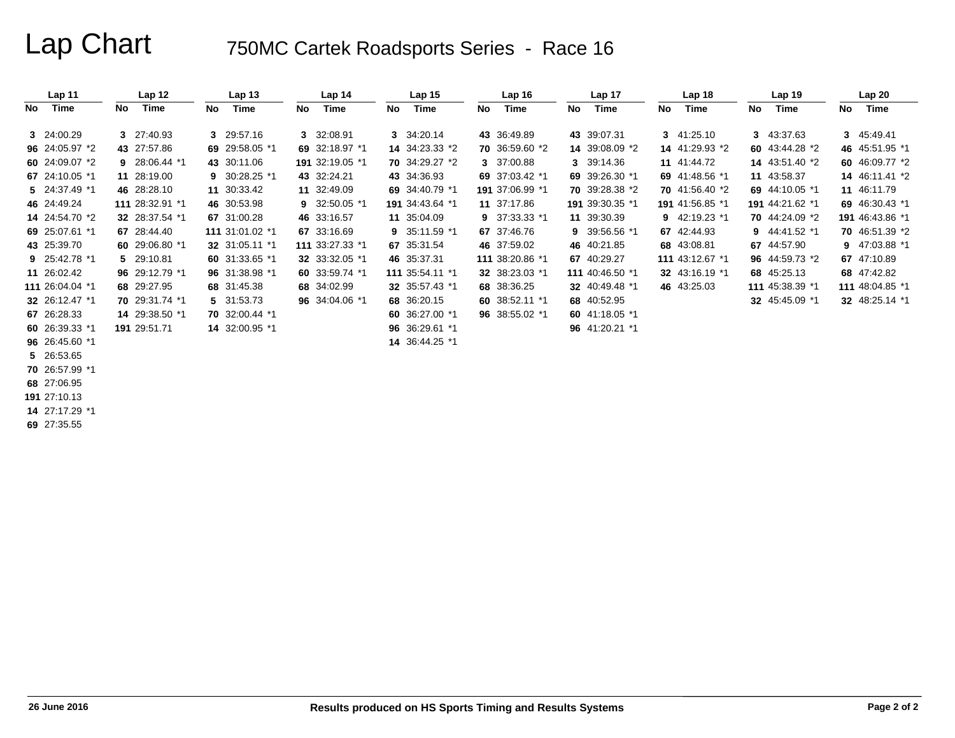# Lap Chart 750MC Cartek Roadsports Series - Race 16

|    | Lap 11          |    | Lap <sub>12</sub> |    | Lap <sub>13</sub> |    | Lap <sub>14</sub> |    | Lap <sub>15</sub> |     | Lap <sub>16</sub> |    | Lap <sub>17</sub> |    | Lap <sub>18</sub> |    | Lap <sub>19</sub> |     | Lap20           |
|----|-----------------|----|-------------------|----|-------------------|----|-------------------|----|-------------------|-----|-------------------|----|-------------------|----|-------------------|----|-------------------|-----|-----------------|
| No | Time            | No | Time              | No | Time              | No | Time              | No | Time              | No. | Time              | No | Time              | No | Time              | No | Time              | No. | Time            |
|    | 3 24:00.29      |    | 3 27:40.93        |    | 3 29:57.16        |    | 3 32:08.91        |    | 3 34:20.14        |     | 43 36:49.89       |    | 43 39:07.31       |    | 3 41:25.10        |    | 3 43:37.63        |     | 3 45:49.41      |
|    | 96 24:05.97 *2  |    | 43 27:57.86       |    | 69 29:58.05 *1    |    | 69 32:18.97 *1    |    | 14 34:23.33 *2    |     | 70 36:59.60 *2    |    | 14 39:08.09 *2    |    | 14 41:29.93 *2    |    | 60 43:44.28 *2    |     | 46 45:51.95 *1  |
|    | 60 24:09.07 *2  |    | 9 28:06.44 *1     |    | 43 30:11.06       |    | 191 32:19.05 *1   |    | 70 34:29.27 *2    |     | 3 37:00.88        |    | 3 39:14.36        |    | 11 41:44.72       |    | 14 43:51.40 *2    |     | 60 46:09.77 *2  |
|    | 67 24:10.05 *1  |    | 11 28:19.00       |    | 9 30:28.25 *1     |    | 43 32:24.21       |    | 43 34:36.93       |     | 69 37:03.42 *1    |    | 69 39:26.30 *1    |    | 69 41:48.56 *1    |    | 11 43:58.37       |     | 14 46:11.41 *2  |
|    | 5 24:37.49 *1   |    | 46 28:28.10       |    | 11 30:33.42       |    | 11 32:49.09       |    | 69 34:40.79 *1    |     | 191 37:06.99 *1   |    | 70 39:28.38 *2    |    | 70 41:56.40 *2    |    | 69 44:10.05 *1    |     | 11 46:11.79     |
|    | 46 24:49.24     |    | 111 28:32.91 *1   |    | 46 30:53.98       |    | $9$ 32:50.05 $*1$ |    | 191 34:43.64 *1   |     | 11 37:17.86       |    | 191 39:30.35 *1   |    | 191 41:56.85 *1   |    | 191 44:21.62 *1   |     | 69 46:30.43 *1  |
|    | 14 24:54.70 *2  |    | 32 28:37.54 *1    |    | 67 31:00.28       |    | 46 33:16.57       |    | 11 35:04.09       |     | 9 37:33.33 *1     |    | 11 39:30.39       |    | 9 $42:19.23$ *1   |    | 70 44:24.09 *2    |     | 191 46:43.86 *1 |
|    | 69 25:07.61 *1  |    | 67 28:44.40       |    | 111 31:01.02 *1   |    | 67 33:16.69       |    | $9$ 35:11.59 $*1$ |     | 67 37:46.76       |    | 9 39:56.56 *1     |    | 67 42:44.93       |    | 9 44:41.52 *1     |     | 70 46:51.39 *2  |
|    | 43 25:39.70     |    | 60 29:06.80 *1    |    | 32 31:05.11 *1    |    | 111 33:27.33 *1   |    | 67 35:31.54       |     | 46 37:59.02       |    | 46 40:21.85       |    | 68 43:08.81       |    | 67 44:57.90       |     | 9 47:03.88 *1   |
|    | 9 25:42.78 *1   |    | 5 29:10.81        |    | 60 31:33.65 *1    |    | 32 33:32.05 *1    |    | 46 35:37.31       |     | 111 38:20.86 *1   |    | 67 40:29.27       |    | 111 43:12.67 *1   |    | 96 44:59.73 *2    |     | 67 47:10.89     |
|    | 11 26:02.42     |    | 96 29:12.79 *1    |    | 96 31:38.98 *1    |    | 60 33:59.74 *1    |    | 111 35:54.11 *1   |     | 32 38:23.03 *1    |    | 111 40:46.50 *1   |    | 32 43:16.19 *1    |    | 68 45:25.13       |     | 68 47:42.82     |
|    | 111 26:04.04 *1 |    | 68 29:27.95       |    | 68 31:45.38       |    | 68 34:02.99       |    | 32 35:57.43 *1    |     | 68 38:36.25       |    | 32 40:49.48 *1    |    | 46 43:25.03       |    | 111 45:38.39 *1   |     | 111 48:04.85 *1 |
|    | 32 26:12.47 *1  |    | 70 29:31.74 *1    |    | 5 31:53.73        |    | 96 34:04.06 *1    |    | 68 36:20.15       |     | 60 38:52.11 *1    |    | 68 40:52.95       |    |                   |    | 32 45:45.09 *1    |     | 32 48:25.14 *1  |
|    | 67 26:28.33     |    | 14 29:38.50 *1    |    | 70 32:00.44 *1    |    |                   |    | 60 36:27.00 *1    |     | 96 38:55.02 *1    |    | 60 $41:18.05$ *1  |    |                   |    |                   |     |                 |
|    | 60 26:39.33 *1  |    | 191 29:51.71      |    | 14 32:00.95 *1    |    |                   |    | 96 36:29.61 *1    |     |                   |    | 96 41:20.21 *1    |    |                   |    |                   |     |                 |
|    | 96 26:45.60 *1  |    |                   |    |                   |    |                   |    | 14 36:44.25 *1    |     |                   |    |                   |    |                   |    |                   |     |                 |
|    | 5 26:53.65      |    |                   |    |                   |    |                   |    |                   |     |                   |    |                   |    |                   |    |                   |     |                 |
|    | 70 26:57.99 *1  |    |                   |    |                   |    |                   |    |                   |     |                   |    |                   |    |                   |    |                   |     |                 |
|    | 68 27:06.95     |    |                   |    |                   |    |                   |    |                   |     |                   |    |                   |    |                   |    |                   |     |                 |
|    | 191 27:10.13    |    |                   |    |                   |    |                   |    |                   |     |                   |    |                   |    |                   |    |                   |     |                 |
|    | 14 27:17.29 *1  |    |                   |    |                   |    |                   |    |                   |     |                   |    |                   |    |                   |    |                   |     |                 |

**69** 27:35.55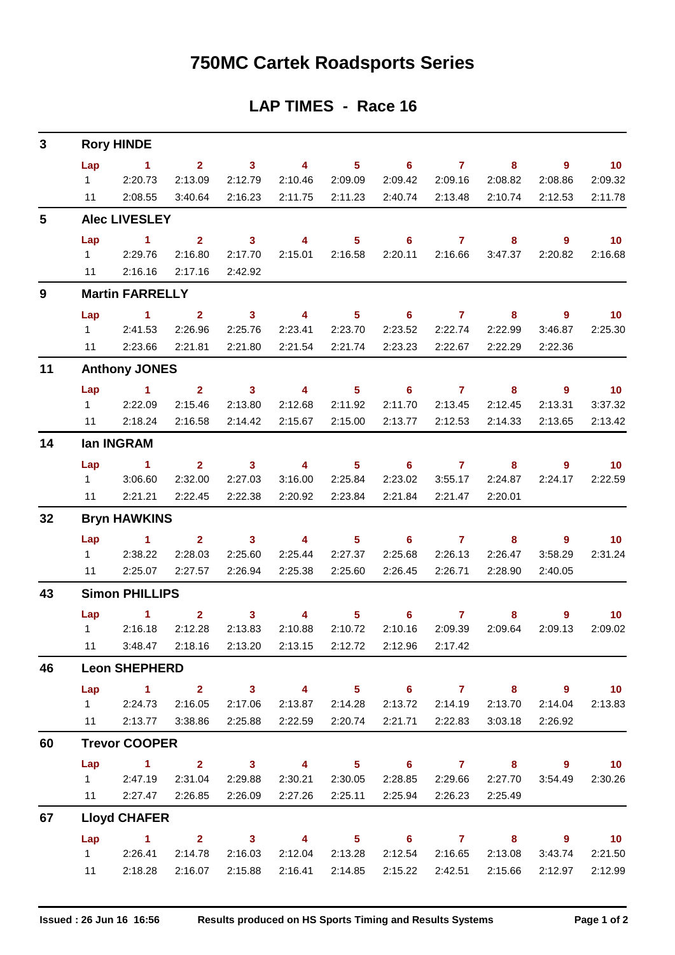## **750MC Cartek Roadsports Series**

### **LAP TIMES - Race 16**

| 3  | <b>Rory HINDE</b>     |                                       |                           |                    |                         |                 |                                             |                         |         |                |                 |  |  |
|----|-----------------------|---------------------------------------|---------------------------|--------------------|-------------------------|-----------------|---------------------------------------------|-------------------------|---------|----------------|-----------------|--|--|
|    | Lap                   | $\blacktriangleleft$                  | $\overline{2}$            | $\mathbf{3}$       | 4                       | 5 <sup>5</sup>  | 6                                           | $\mathbf{7}$            | 8       | 9              | 10 <sub>1</sub> |  |  |
|    | $1 \quad$             | 2:20.73                               | 2:13.09                   | 2:12.79            | 2:10.46                 | 2:09.09         | 2:09.42                                     | 2:09.16                 | 2:08.82 | 2:08.86        | 2:09.32         |  |  |
|    | 11                    | 2:08.55                               | 3:40.64                   | 2:16.23            | 2:11.75                 | 2:11.23         | 2:40.74                                     | 2:13.48                 | 2:10.74 | 2:12.53        | 2:11.78         |  |  |
| 5  |                       | <b>Alec LIVESLEY</b>                  |                           |                    |                         |                 |                                             |                         |         |                |                 |  |  |
|    | Lap<br>$1 \quad$      | $\blacktriangleleft$<br>2:29.76       | $\overline{2}$            | $\mathbf{3}$       | 4                       | $5\phantom{1}$  | 6                                           | $\mathbf{7}$<br>2:16.66 | 8       | $\overline{9}$ | 10 <sub>1</sub> |  |  |
|    | 11                    | 2:16.16                               | 2:16.80<br>2:17.16        | 2:17.70<br>2:42.92 | 2:15.01                 | 2:16.58         | 2:20.11                                     |                         | 3:47.37 | 2:20.82        | 2:16.68         |  |  |
| 9  |                       | <b>Martin FARRELLY</b>                |                           |                    |                         |                 |                                             |                         |         |                |                 |  |  |
|    | Lap                   | $\blacktriangleleft$                  | $\overline{2}$            | $\mathbf{3}$       | $\overline{4}$          | 5               | $6\phantom{1}$                              | $\mathbf{7}$            | 8       | 9              | 10 <sub>1</sub> |  |  |
|    | $1 \quad$             | 2:41.53                               | 2:26.96                   | 2:25.76            | 2:23.41                 | 2:23.70         | 2:23.52                                     | 2:22.74                 | 2:22.99 | 3:46.87        | 2:25.30         |  |  |
|    | 11                    | 2:23.66                               | 2:21.81                   | 2:21.80            | 2:21.54                 | 2:21.74         | 2:23.23                                     | 2:22.67                 | 2:22.29 | 2:22.36        |                 |  |  |
| 11 | <b>Anthony JONES</b>  |                                       |                           |                    |                         |                 |                                             |                         |         |                |                 |  |  |
|    | Lap                   | $\blacktriangleleft$                  | $\overline{2}$            | $\mathbf{3}$       | 4                       | 5               | 6                                           | $\overline{7}$          | 8       | $\overline{9}$ | 10              |  |  |
|    | $1 \quad$             | 2:22.09                               | 2:15.46                   | 2:13.80            | 2:12.68                 | 2:11.92         | 2:11.70                                     | 2:13.45                 | 2:12.45 | 2:13.31        | 3:37.32         |  |  |
|    | 11                    | 2:18.24                               | 2:16.58                   | 2:14.42            | 2:15.67                 | 2:15.00         | 2:13.77                                     | 2:12.53                 | 2:14.33 | 2:13.65        | 2:13.42         |  |  |
| 14 |                       | lan INGRAM                            |                           |                    |                         |                 |                                             |                         |         |                |                 |  |  |
|    | Lap                   | $\blacktriangleleft$                  | $\overline{2}$            | $\mathbf{3}$       | 4                       | 5 <sup>1</sup>  | $6\phantom{1}$                              | $\mathbf{7}$            | 8       | 9              | 10 <sup>°</sup> |  |  |
|    | $1 \quad$             | 3:06.60                               | 2:32.00                   | 2:27.03            | 3:16.00                 | 2:25.84         | 2:23.02                                     | 3:55.17                 | 2:24.87 | 2:24.17        | 2:22.59         |  |  |
|    | 11                    | 2:21.21                               | 2:22.45                   | 2:22.38            | 2:20.92                 | 2:23.84         | 2:21.84                                     | 2:21.47                 | 2:20.01 |                |                 |  |  |
| 32 |                       | <b>Bryn HAWKINS</b>                   |                           |                    |                         |                 |                                             |                         |         |                |                 |  |  |
|    | Lap                   | $\blacktriangleleft$                  | $\mathbf{2}$              | $\mathbf{3}$       | 4                       | 5               | 6                                           | $\overline{7}$          | 8       | 9              | 10 <sub>1</sub> |  |  |
|    | $1 \quad$             | 2:38.22                               | 2:28.03                   | 2:25.60            | 2:25.44                 | 2:27.37         | 2:25.68                                     | 2:26.13                 | 2:26.47 | 3:58.29        | 2:31.24         |  |  |
|    | 11                    | 2:25.07                               | 2:27.57                   | 2:26.94            | 2:25.38                 | 2:25.60         | 2:26.45                                     | 2:26.71                 | 2:28.90 | 2:40.05        |                 |  |  |
| 43 | <b>Simon PHILLIPS</b> |                                       |                           |                    |                         |                 |                                             |                         |         |                |                 |  |  |
|    | Lap                   | 1.                                    | $\overline{2}$            | 3                  | 4                       | 5               | 6                                           | $\overline{7}$          | 8       | 9              | 10 <sub>1</sub> |  |  |
|    | $1 \quad$             | 2:16.18                               | 2:12.28                   | 2:13.83            | 2:10.88                 | 2:10.72         | 2:10.16                                     | 2:09.39                 | 2:09.64 | 2:09.13        | 2:09.02         |  |  |
|    | 11                    |                                       | 3:48.47  2:18.16  2:13.20 |                    | 2:13.15                 |                 | 2:12.72 2:12.96                             | 2:17.42                 |         |                |                 |  |  |
| 46 |                       | <b>Leon SHEPHERD</b>                  |                           |                    |                         |                 |                                             |                         |         |                |                 |  |  |
|    |                       | Lap 1 2 3 4 5 6 7 8 9 10<br>1 2:24.73 | 2:16.05                   | 2:17.06            |                         | 2:13.87 2:14.28 |                                             | 2:13.72 2:14.19         | 2:13.70 | 2:14.04        | 2:13.83         |  |  |
|    |                       | 11 2:13.77 3:38.86                    |                           |                    | 2:25.88 2:22.59 2:20.74 |                 |                                             | 2:21.71 2:22.83         | 3:03.18 | 2:26.92        |                 |  |  |
| 60 |                       | <b>Trevor COOPER</b>                  |                           |                    |                         |                 |                                             |                         |         |                |                 |  |  |
|    | Lap                   | 1 2 3 4 5 6 7 8 9 10                  |                           |                    |                         |                 |                                             |                         |         |                |                 |  |  |
|    |                       | 1 2:47.19 2:31.04 2:29.88             |                           |                    |                         |                 | 2:30.21  2:30.05  2:28.85  2:29.66  2:27.70 |                         |         | 3:54.49        | 2:30.26         |  |  |
|    |                       | 11 2:27.47 2:26.85                    |                           | 2:26.09            | 2:27.26                 | 2:25.11         |                                             | 2:25.94 2:26.23         | 2:25.49 |                |                 |  |  |
| 67 |                       | <b>Lloyd CHAFER</b>                   |                           |                    |                         |                 |                                             |                         |         |                |                 |  |  |
|    |                       | Lap 1 2 3 4 5 6 7 8 9 10              |                           |                    |                         |                 |                                             |                         |         |                |                 |  |  |
|    |                       | 1 2:26.41                             | 2:14.78                   | 2:16.03            |                         | 2:12.04 2:13.28 |                                             | 2:12.54 2:16.65         | 2:13.08 | 3:43.74        | 2:21.50         |  |  |
|    |                       | 11 2:18.28                            | 2:16.07                   | 2:15.88            | 2:16.41                 | 2:14.85         |                                             | 2:15.22  2:42.51        | 2:15.66 | 2:12.97        | 2:12.99         |  |  |